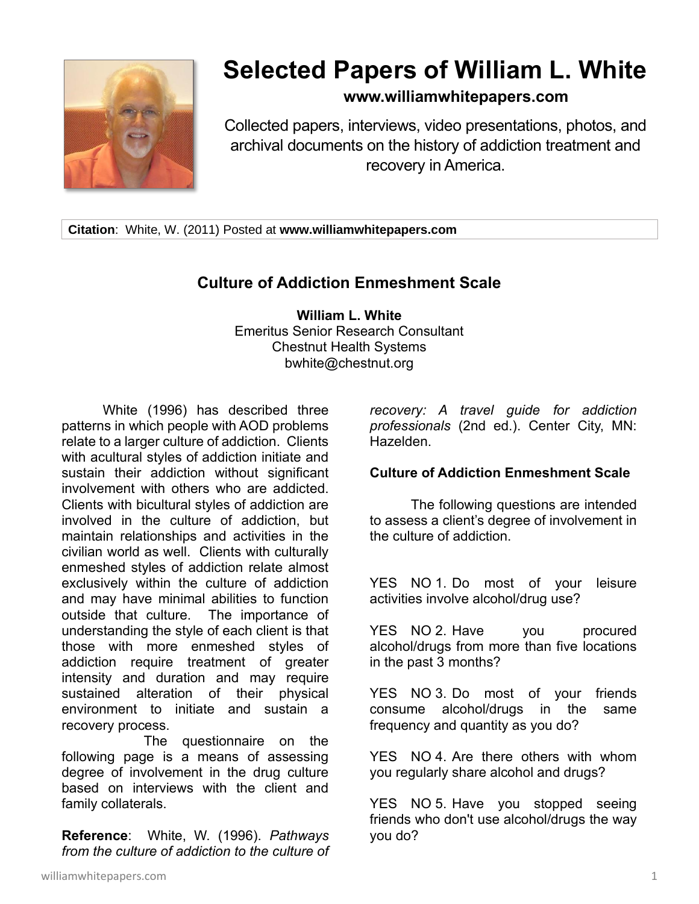

# **Selected Papers of William L. White**

## **www.williamwhitepapers.com**

Collected papers, interviews, video presentations, photos, and archival documents on the history of addiction treatment and recovery in America.

**Citation**: White, W. (2011) Posted at **www.williamwhitepapers.com**

## **Culture of Addiction Enmeshment Scale**

**William L. White** Emeritus Senior Research Consultant Chestnut Health Systems bwhite@chestnut.org

White (1996) has described three patterns in which people with AOD problems relate to a larger culture of addiction. Clients with acultural styles of addiction initiate and sustain their addiction without significant involvement with others who are addicted. Clients with bicultural styles of addiction are involved in the culture of addiction, but maintain relationships and activities in the civilian world as well. Clients with culturally enmeshed styles of addiction relate almost exclusively within the culture of addiction and may have minimal abilities to function outside that culture. The importance of understanding the style of each client is that those with more enmeshed styles of addiction require treatment of greater intensity and duration and may require sustained alteration of their physical environment to initiate and sustain a recovery process.

The questionnaire on the following page is a means of assessing degree of involvement in the drug culture based on interviews with the client and family collaterals.

**Reference**: White, W. (1996). *Pathways from the culture of addiction to the culture of*  *recovery: A travel guide for addiction professionals* (2nd ed.). Center City, MN: Hazelden.

#### **Culture of Addiction Enmeshment Scale**

The following questions are intended to assess a client's degree of involvement in the culture of addiction.

YES NO 1. Do most of your leisure activities involve alcohol/drug use?

YES NO 2. Have you procured alcohol/drugs from more than five locations in the past 3 months?

YES NO 3. Do most of your friends consume alcohol/drugs in the same frequency and quantity as you do?

YES NO 4. Are there others with whom you regularly share alcohol and drugs?

YES NO 5. Have you stopped seeing friends who don't use alcohol/drugs the way you do?